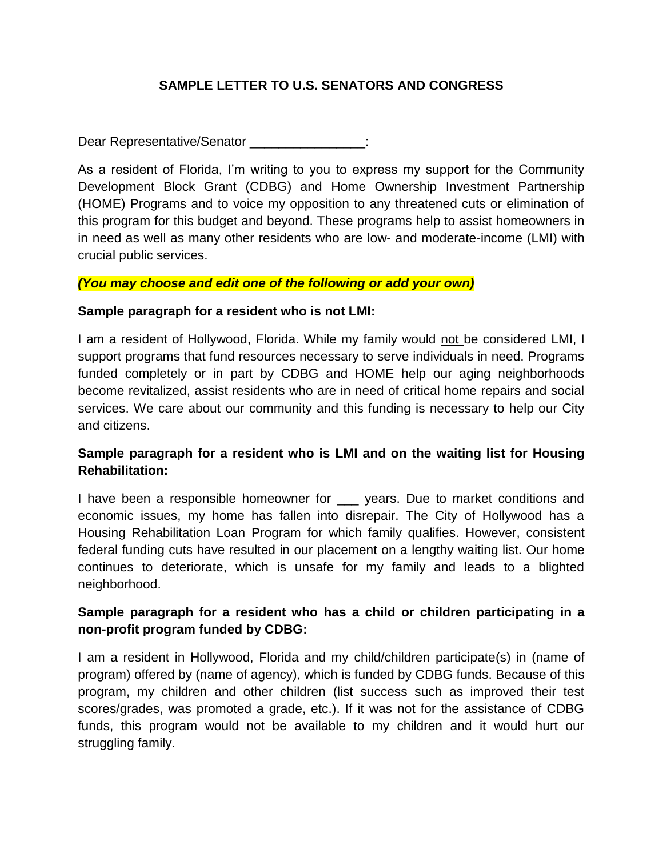## **SAMPLE LETTER TO U.S. SENATORS AND CONGRESS**

Dear Representative/Senator **Dear** Representative

As a resident of Florida, I'm writing to you to express my support for the Community Development Block Grant (CDBG) and Home Ownership Investment Partnership (HOME) Programs and to voice my opposition to any threatened cuts or elimination of this program for this budget and beyond. These programs help to assist homeowners in in need as well as many other residents who are low- and moderate-income (LMI) with crucial public services.

#### *(You may choose and edit one of the following or add your own)*

#### **Sample paragraph for a resident who is not LMI:**

I am a resident of Hollywood, Florida. While my family would not be considered LMI, I support programs that fund resources necessary to serve individuals in need. Programs funded completely or in part by CDBG and HOME help our aging neighborhoods become revitalized, assist residents who are in need of critical home repairs and social services. We care about our community and this funding is necessary to help our City and citizens.

## **Sample paragraph for a resident who is LMI and on the waiting list for Housing Rehabilitation:**

I have been a responsible homeowner for \_\_\_ years. Due to market conditions and economic issues, my home has fallen into disrepair. The City of Hollywood has a Housing Rehabilitation Loan Program for which family qualifies. However, consistent federal funding cuts have resulted in our placement on a lengthy waiting list. Our home continues to deteriorate, which is unsafe for my family and leads to a blighted neighborhood.

## **Sample paragraph for a resident who has a child or children participating in a non-profit program funded by CDBG:**

I am a resident in Hollywood, Florida and my child/children participate(s) in (name of program) offered by (name of agency), which is funded by CDBG funds. Because of this program, my children and other children (list success such as improved their test scores/grades, was promoted a grade, etc.). If it was not for the assistance of CDBG funds, this program would not be available to my children and it would hurt our struggling family.